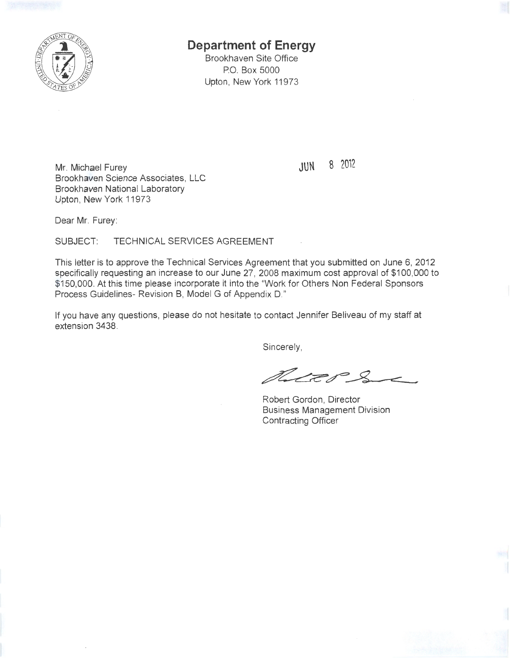

# **Department of Energy**

Brookhaven Site Office P.O. Box 5000 Upton, New York 11973

**JUN** 8 2012

Mr. Michael Furey Brookhaven Science Associates, LLC Brookhaven National Laboratory Upton, New York 11973

Dear Mr. Furey:

SUBJECT: TECHNICAL SERVICES AGREEMENT

This letter is to approve the Technical Services Agreement that you submitted on June 6, 2012 specifically requesting an increase to our June 27, 2008 maximum cost approval of \$100,000 to \$150,000. At this time please incorporate it into the "Work for Others Non Federal Sponsors Process Guidelines- Revision B, Model G of Appendix D."

If you have any questions, please do not hesitate to contact Jennifer Beliveau of my staff at extension 3438.

Sincerely,

 $MPPS =$ 

Robert Gordon, Director Business Management Division Contracting Officer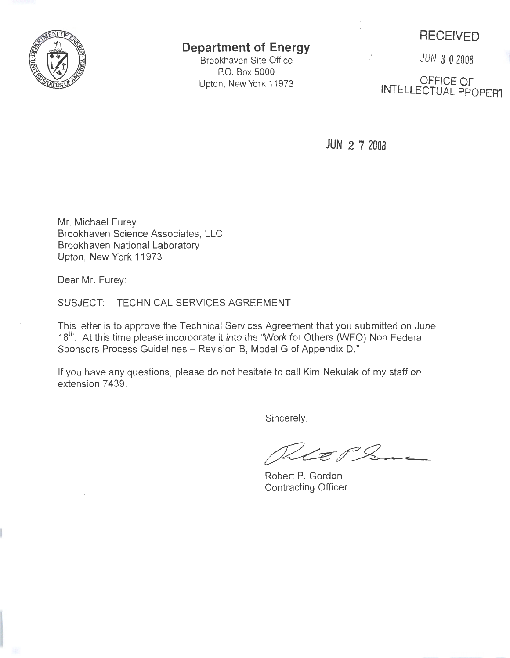

# **Department of Energy**

Brookhaven Site Office P.O. Box 5000 Upton, New York 11973 **RECEIVED** 

JUN 30 2008

OFFICE OF INTELLECTUAL PROPERl

**JUN 2 7 2008** 

Mr. Michael Furey Brookhaven Science Associates, LLC Brookhaven National Laboratory Upton, New York 11973

Dear Mr. Furey:

SUBJECT: TECHNICAL SERVICES AGREEMENT

This letter is to approve the Technical Services Agreement that you submitted on June 18<sup>th</sup>. At this time please incorporate it into the "Work for Others (WFO) Non Federal Sponsors Process Guidelines - Revision B, Model G of Appendix D."

If you have any questions, please do not hesitate to call Kim Nekulak of my staff on extension 7439.

Sincerely,

EP Sm

Robert P. Gordon Contracting Officer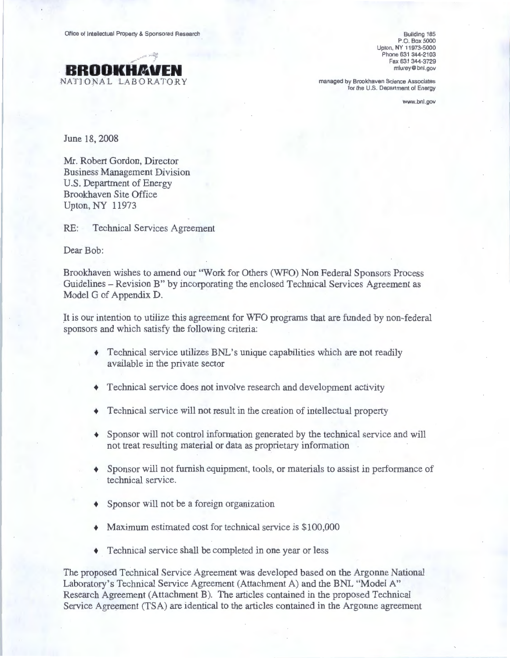Office of Intellectual Property & Sponsored Research



Building 185 P.O. Box 5000 Upton, NY 11973-5000 Phone 631 344-2103 Fax 631 344-3729 mfurey@ bnl.gov

managed by Brookhaven Science Associates for the U.S. Department of Energy

www.bnl.gov

June 18, 2008

Mr. Robert Gordon, Director Business Management Division U.S. Department of Energy Brookhaven Site Office Upton, NY 11973

RE: Technical Services Agreement

Dear Bob:

Brookhaven wishes to amend our "Work for Others (WFO) Non Federal Sponsors Process Guidelines - Revision B" by incorporating the enclosed Technical Services Agreement as Model G of Appendix D.

It is our intention to utilize this agreement for WFO programs that are funded by non-federal sponsors and which satisfy the following criteria:

- + Technical service utilizes BNL's unique capabilities which are not readily available in the private sector
- Technical service does not involve research and development activity
- Technical service will not result in the creation of intellectual property
- + Sponsor will not control information generated by the technical service and will not treat resulting material or data as proprietary information
- + Sponsor will not furnish equipment, tools, or materials to assist in performance of technical service.
- Sponsor will not be a foreign organization
- Maximum estimated cost for technical service is \$100,000
- Technical service shall be completed in one year or less

The proposed Technical Service Agreement was developed based on the Argonne National Laboratory's Technical Service Agreement (Attachment A) and the BNL "Model A" Research Agreement (Attachment B). The articles contained in the proposed Technical Service Agreement (TSA) are identical to the articles contained in the Argonne agreement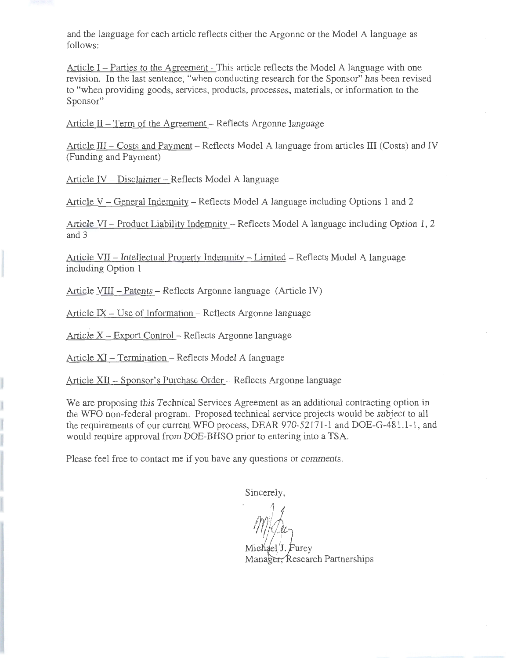

Article I - Parties to the Agreement - This article reflects the Model A language with one revision. In the last sentence; "when conducting research for the Sponsor" has been revised to "when providing goods, services, products, processes, materials, or information to the Sponsor"

Article II - Term of the Agreement - Reflects Argonne language

Article III – Costs and Payment – Reflects Model A language from articles III (Costs) and IV (Funding and Payment)

Article IV - Disclaimer- Reflects Model A language

Article V - General Indemnity - Reflects Model A language including Options 1 and 2

Article VI - Product Liability Indemnity - Reflects Model A language including Option 1, 2 and 3

Article VII - Intellectual Property Indemnity - Limited - Reflects Model A language including Option 1

Article VIII - Patents - Reflects Argonne language (Article IV)

Article IX- Use of Information- Reflects Argonne language

Article  $X$  – Export Control – Reflects Argonne language

Article XI - Termination - Reflects Model A language

Article XII - Sponsor's Purchase Order - Reflects Argonne language

We are proposing this Technical Services Agreement as an additional contracting option in the WFO non-federal program. Proposed technical service projects would be subject to all the requirements of our current WFO process, DEAR 970-52171-1 and DOE-G-481.1-1, and would require approval from DOE-BHSO prior to entering into a TSA.

Please feel free to contact me if you have any questions or comments.

Sincerely,

 $\frac{1}{2}$ 

Michael J. Furey Manager, Research Partnerships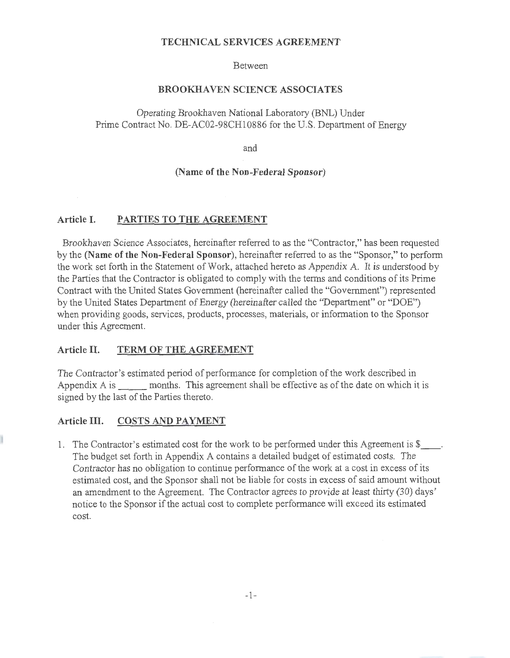#### **TECHNICAL SERVICES AGREEMENT**

#### Between

### **BROOKHAVEN SCIENCE ASSOCIATES**

## Operating Brookhaven National Laboratory (BNL) Under Prime Contract No. DE-AC02-98CH10886 for the U.S. Department of Energy

and

#### **(Name of the Non-Federal Sponsor)**

#### **Article I. PARTIES TO THE AGREEMENT**

Brookhaven Science Associates, hereinafter referred to as the "Contractor," has been requested by the **(Name of the Non-Federal Sponsor)**, hereinafter referred to as the "Sponsor," to perform the work set forth in the Statement of Work, attached hereto as Appendix A. It is understood by the Parties that the Contractor is obligated to comply with the terms and conditions of its Prime Contract with the United States Government (hereinafter called the "Government") represented by the United States Department of Energy (hereinafter called the "Department" or "DOE") when providing goods, services, products, processes, materials, or information to the Sponsor under this Agreement.

#### **Article II. TERM OF THE AGREEMENT**

The Contractor's estimated period of performance for completion of the work described in Appendix A is \_\_\_\_\_\_ months. This agreement shall be effective as of the date on which it is signed by the last of the Parties thereto.

#### **Article Ill. COSTS AND PAYMENT**

1. The Contractor's estimated cost for the work to be performed under this Agreement is \$ \_\_ . The budget set forth in Appendix A contains a detailed budget of estimated costs. The Contractor has no obligation to continue performance of the work at a cost in excess of its estimated cost, and the Sponsor shall not be liable for costs in excess of said amount without an amendment to the Agreement. The Contractor agrees to provide at least thirty (30) days' notice to the Sponsor if the actual cost to complete performance will exceed its estimated cost.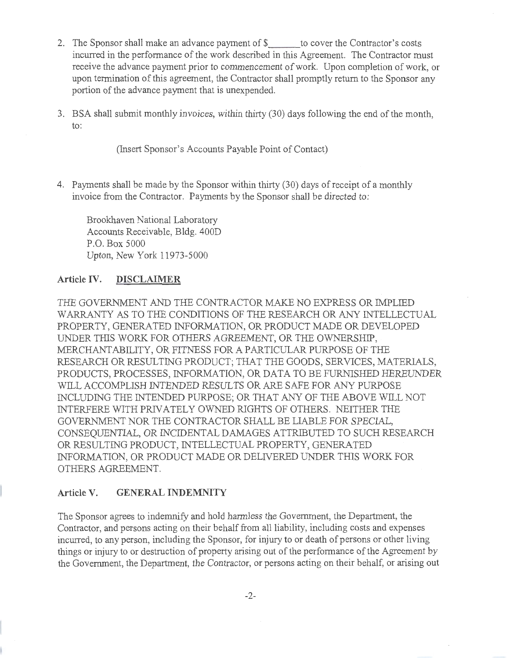- 2. The Sponsor shall make an advance payment of \$ to cover the Contractor's costs incurred in the performance of the work described in this Agreement. The Contractor must receive the advance payment prior to commencement of work. Upon completion of work, or upon termination of this agreement, the Contractor shall promptly return to the Sponsor any portion of the advance payment that is unexpended.
- 3. BSA shall submit monthly invoices, within thirty (30) days following the end of the month, to:

(Insert Sponsor's Accounts Payable Point of Contact)

4. Payments shall be made by the Sponsor within thirty (30) days of receipt of a monthly invoice from the Contractor. Payments by the Sponsor shall be directed to :

Brookhaven National Laboratory Accounts Receivable, Bldg. 400D P.O. Box 5000 Upton, New York 11973-5000

### **Article IV. DISCLAIMER**

THE GOVERNMENT AND THE CONTRACTOR MAKE NO EXPRESS OR IMPLIED WARRANTY AS TO THE CONDITIONS OF THE RESEARCH OR ANY INTELLECTUAL PROPERTY, GENERATED INFORMATION, OR PRODUCT MADE OR DEVELOPED UNDER THIS WORK FOR OTHERS AGREEMENT, OR THE OWNERSHIP, MERCHANTABILITY, OR FITNESS FOR A PARTICULAR PURPOSE OF THE RESEARCH OR RESULTING PRODUCT; THAT THE GOODS, SERVICES, MATERIALS, PRODUCTS, PROCESSES, INFORMATION, OR DATA TO BE FURNISHED HEREUNDER WILL ACCOMPLISH INTENDED RESULTS OR ARE SAFE FOR ANY PURPOSE INCLUDING THE INTENDED PURPOSE; OR THAT ANY OF THE ABOVE WILL NOT INTERFERE WITH PRIVATELY OWNED RIGHTS OF OTHERS. NEITHER THE GOVERNMENT NOR THE CONTRACTOR SHALL BE LIABLE FOR SPECIAL, CONSEQUENTIAL, OR INCIDENTAL DAMAGES ATTRIBUTED TO SUCH RESEARCH OR RESULTING PRODUCT, INTELLECTUAL PROPERTY, GENERATED INFORMATION, OR PRODUCT MADE OR DELIVERED UNDER THIS WORK FOR OTHERS AGREEMENT.

#### **Article V. GENERAL INDEMNITY**

The Sponsor agrees to indemnify and hold harmless the Government, the Department, the Contractor, and persons acting on their behalf from all liability, including costs and expenses incurred, to any person, including the Sponsor, for injury to or death of persons or other living things or injury to or destruction of property arising out of the performance of the Agreement by the Government, the Department, the Contractor, or persons acting on their behalf, or arising out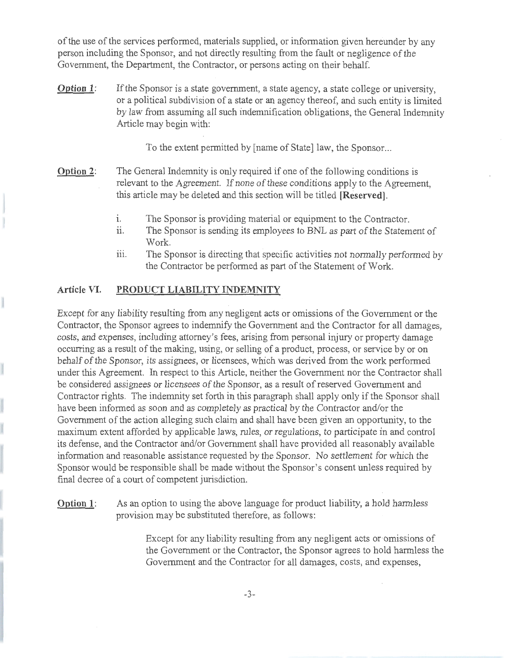of the use ofthe services performed, materials supplied, or information given hereunder by any person including the Sponsor, and not directly resulting from the fault or negligence of the Government, the Department, the Contractor, or persons acting on their behalf.

**Option 1:**  If the Sponsor is a state government, a state agency, a state college or university, or a political subdivision of a state or an agency thereof, and such entity is limited by law from assuming all such indemnification obligations, the General Indemnity Article may begin with:

To the extent permitted by [name of State] law, the Sponsor. ..

- **Option 2:**  The General Indemnity is only required if one of the following conditions is relevant to the Agreement. If none of these conditions apply to the Agreement, this article may be deleted and this section will be titled **[Reserved].** 
	- 1. The Sponsor is providing material or equipment to the Contractor.
	- ii. The Sponsor is sending its employees to BNL as part of the Statement of Work.
	- 111. The Sponsor is directing that specific activities not normally performed by the Contractor be performed as part of the Statement of Work.

## **Article VI. PRODUCT LIABILITY INDEMNITY**

Except for any liability resulting from any negligent acts or omissions of the Government or the Contractor, the Sponsor agrees to indemnify the Government and the Contractor for all damages, costs, and expenses, including attorney's fees, arising from personal injury or property damage occurring as a result of the making, using, or selling of a product, process, or service by or on behalf of the Sponsor, its assignees, or licensees, which was derived from the work performed under this Agreement. In respect to this Article, neither the Government nor the Contractor shall be considered assignees or licensees of the Sponsor, as a result of reserved Government and Contractor rights. The indemnity set forth in this paragraph shall apply only if the Sponsor shall have been informed as soon and as completely as practical by the Contractor and/or the Government of the action alleging such claim and shall have been given an opportunity, to the maximum extent afforded by applicable laws, rules, or regulations, to participate in and control its defense, and the Contractor and/or Government shall have provided all reasonably available information and reasonable assistance requested by the Sponsor. No settlement for which the Sponsor would be responsible shall be made without the Sponsor's consent unless required by final decree of a court of competent jurisdiction.

**Option 1:** As an option to using the above language for product liability, a hold harmless provision may be substituted therefore, as follows:

> Except for any liability resulting from any negligent acts or omissions of the Government or the Contractor, the Sponsor agrees to hold harmless the Government and the Contractor for all damages, costs, and expenses,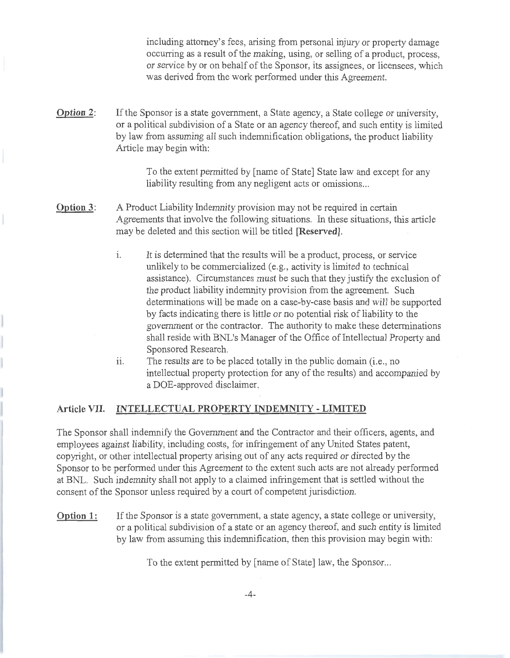including attorney's fees, arising from personal injury or property damage occurring as a result of the making, using, or selling of a product, process, or service by or on behalf of the Sponsor, its assignees, or licensees, which was derived from the work performed under this Agreement.

#### **Option 2:**  If the Sponsor is a state government, a State agency, a State college or university, or a political subdivision of a State or an agency thereof, and such entity is limited by law from assuming all such indemnification obligations, the product liability Article may begin with:

To the extent permitted by [name of State] State law and except for any liability resulting from any negligent acts or omissions...

- **Option 3:**  A Product Liability Indemnity provision may not be required in certain Agreements that involve the following situations. In these situations, this article may be deleted and this section will be titled **[Reserved].** 
	- 1. It is determined that the results will be a product, process, or service unlikely to be commercialized (e.g., activity is limited to technical assistance). Circumstances must be such that they justify the exclusion of the product liability indemnity provision from the agreement. Such determinations will be made on a case-by-case basis and will be supported by facts indicating there is little or no potential risk of liability to the government or the contractor. The authority to make these determinations shall reside with BNL's Manager of the Office of Intellectual Property and Sponsored Research.
	- ii. The results are to be placed totally in the public domain (i.e., no intellectual property protection for any of the results) and accompanied by a DOE-approved disclaimer.

## **Article VII. INTELLECTUAL PROPERTY INDEMNITY - LIMITED**

The Sponsor shall indemnify the Government and the Contractor and their officers, agents, and employees against liability, including costs, for infringement of any United States patent, copyright, or other intellectual property arising out of any acts required or directed by the Sponsor to be performed under this Agreement to the extent such acts are not already performed at BNL. Such indemnity shall not apply to a claimed infringement that is settled without the consent of the Sponsor unless required by a court of competent jurisdiction.

**Option 1:** If the Sponsor is a state government, a state agency, a state college or university, or a political subdivision of a state or an agency thereof, and such entity is limited by law from assuming this indemnification, then this provision may begin with:

To the extent permitted by [name of State] law, the Sponsor. ..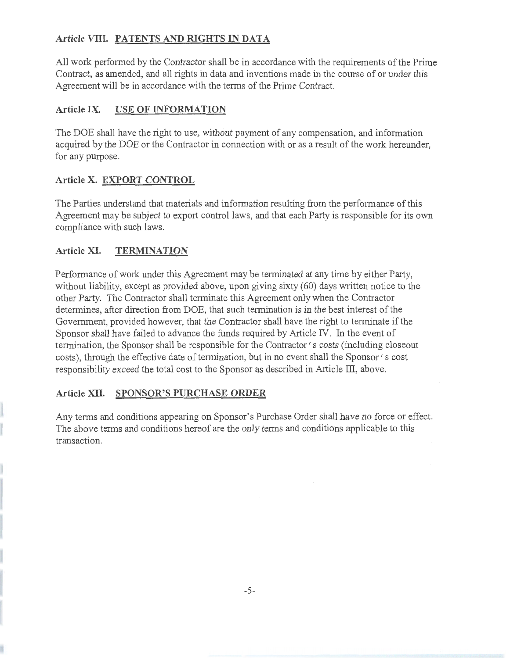# **Article VIII. PATENTS AND RIGHTS IN DATA**

All work performed by the Contractor shall be in accordance with the requirements of the Prime Contract, as amended, and all rights in data and inventions made in the course of or under this Agreement will be in accordance with the terms of the Prime Contract.

## **Article IX. USE OF INFORMATION**

The DOE shall have the right to use, without payment of any compensation, and information acquired by the DOE or the Contractor in connection with or as a result of the work hereunder, for any purpose.

## **Article X. EXPORT CONTROL**

The Parties understand that materials and information resulting from the performance of this Agreement maybe subject to export control laws, and that each Party is responsible for its own compliance with such laws.

# **Article XI. TERMINATION**

Performance of work under this Agreement may be terminated at any time by either Party, without liability, except as provided above, upon giving sixty (60) days written notice to the other Party. The Contractor shall terminate this Agreement only when the Contractor determines; after direction from DOE, that such termination is in the best interest of the Government, provided however, that the Contractor shall have the right to terminate if the Sponsor shall have failed to advance the funds required by Article IV. In the event of termination, the Sponsor shall be responsible for the Contractor' s costs (including closeout costs), through the effective date of termination, but in no event shall the Sponsor' s cost responsibility exceed the total cost to the Sponsor as described in Article  $III$ , above.

## **Article XII. SPONSOR'S PURCHASE ORDER**

Any terms and conditions appearing on Sponsor's Purchase Order shall have no force or effect. The above terms and conditions hereof are the only terms and conditions applicable to this transaction.